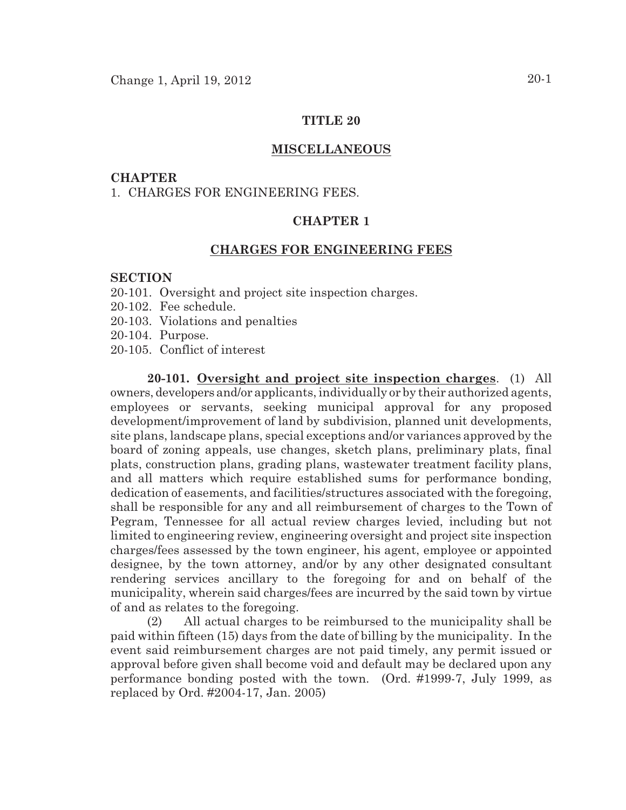### **TITLE 20**

### **MISCELLANEOUS**

#### **CHAPTER**

1. CHARGES FOR ENGINEERING FEES.

# **CHAPTER 1**

# **CHARGES FOR ENGINEERING FEES**

## **SECTION**

- 20-101. Oversight and project site inspection charges.
- 20-102. Fee schedule.
- 20-103. Violations and penalties
- 20-104. Purpose.
- 20-105. Conflict of interest

**20-101. Oversight and project site inspection charges**. (1) All owners, developers and/or applicants, individually or by their authorized agents, employees or servants, seeking municipal approval for any proposed development/improvement of land by subdivision, planned unit developments, site plans, landscape plans, special exceptions and/or variances approved by the board of zoning appeals, use changes, sketch plans, preliminary plats, final plats, construction plans, grading plans, wastewater treatment facility plans, and all matters which require established sums for performance bonding, dedication of easements, and facilities/structures associated with the foregoing, shall be responsible for any and all reimbursement of charges to the Town of Pegram, Tennessee for all actual review charges levied, including but not limited to engineering review, engineering oversight and project site inspection charges/fees assessed by the town engineer, his agent, employee or appointed designee, by the town attorney, and/or by any other designated consultant rendering services ancillary to the foregoing for and on behalf of the municipality, wherein said charges/fees are incurred by the said town by virtue of and as relates to the foregoing.

(2) All actual charges to be reimbursed to the municipality shall be paid within fifteen (15) days from the date of billing by the municipality. In the event said reimbursement charges are not paid timely, any permit issued or approval before given shall become void and default may be declared upon any performance bonding posted with the town. (Ord. #1999-7, July 1999, as replaced by Ord. #2004-17, Jan. 2005)